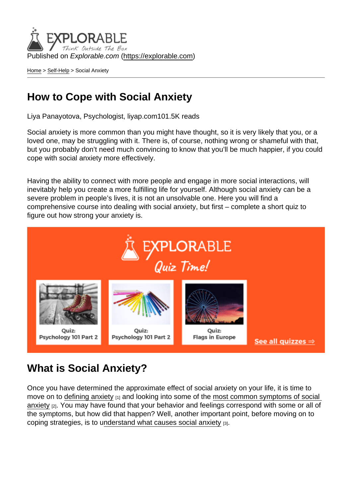Published on Explorable.com (<https://explorable.com>)

[Home](https://explorable.com/) > [Self-Help](https://explorable.com/c/self-help) > Social Anxiety

#### How to Cope with Social Anxiety

Liya Panayotova, Psychologist, liyap.com101.5K reads

Social anxiety is more common than you might have thought, so it is very likely that you, or a loved one, may be struggling with it. There is, of course, nothing wrong or shameful with that, but you probably don't need much convincing to know that you'll be much happier, if you could cope with social anxiety more effectively.

Having the ability to connect with more people and engage in more social interactions, will inevitably help you create a more fulfilling life for yourself. Although social anxiety can be a severe problem in people's lives, it is not an unsolvable one. Here you will find a comprehensive course into dealing with social anxiety, but first – complete a short quiz to figure out how strong your anxiety is.

#### What is Social Anxiety?

Once you have determined the approximate effect of social anxiety on your life, it is time to move on to [defining anxiety](https://explorable.com/anxiety-is-a-normal-reaction?gid=21320)  $_{[1]}$  and looking into some of the most common symptoms of social [anxiety](https://explorable.com/common-signs-of-social-anxiety?gid=21320) [2]. You may have found that your behavior and feelings correspond with some or all of the symptoms, but how did that happen? Well, another important point, before moving on to coping strategies, is to [understand what causes social anxiety](https://explorable.com/the-roots-of-social-anxiety?gid=21320) [3].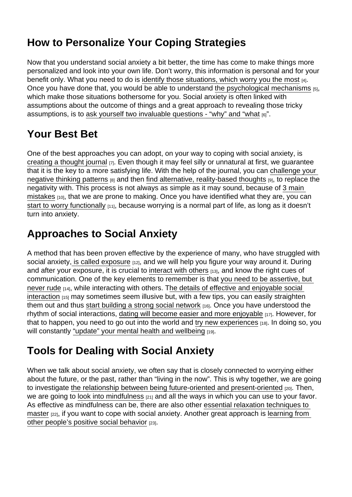# How to Personalize Your Coping Strategies

Now that you understand social anxiety a bit better, the time has come to make things more personalized and look into your own life. Don't worry, this information is personal and for your benefit only. What you need to do is [identify those situations, which worry you the most](https://explorable.com/identify-specific-situations?gid=21320) [4]. Once you have done that, you would be able to understand [the psychological mechanisms](https://explorable.com/anxiety-and-your-mind?gid=21320) [5], which make those situations bothersome for you. Social anxiety is often linked with assumptions about the outcome of things and a great approach to revealing those tricky assumptions, is to [ask yourself two invaluable questions - "why" and "what](https://explorable.com/the-downward-arrow?gid=21320) [6]".

## Your Best Bet

One of the best approaches you can adopt, on your way to coping with social anxiety, is [creating a thought journal](https://explorable.com/keeping-a-thought-journal?gid=21320) [7]. Even though it may feel silly or unnatural at first, we quarantee that it is the key to a more satisfying life. With the help of the journal, you can [challenge your](https://explorable.com/challenge-negative-thinking?gid=21320)  [negative thinking patterns](https://explorable.com/challenge-negative-thinking?gid=21320) [8] and then [find alternative, reality-based thoughts](https://explorable.com/finding-alternative-thoughts?gid=21320) [9], to replace the negativity with. This process is not always as simple as it may sound, because of [3 main](https://explorable.com/3-mistakes-to-avoid?gid=21320)  [mistakes](https://explorable.com/3-mistakes-to-avoid?gid=21320) [10], that we are prone to making. Once you have identified what they are, you can [start to worry functionally](https://explorable.com/worrying-functionally?gid=21320) [11], because worrying is a normal part of life, as long as it doesn't turn into anxiety.

# Approaches to Social Anxiety

A method that has been proven effective by the experience of many, who have struggled with social anxiety[, is called exposure](https://explorable.com/exposure-0?gid=21320)  $_{112}$ , and we will help you figure your way around it. During and after your exposure, it is crucial to [interact with others](https://explorable.com/how-to-interact-with-others?gid=21320) [13], and know the right cues of communication. One of the key elements to remember is that [you need to be assertive, but](https://explorable.com/assertiveness-without-rudeness?gid=21320)  [never rude](https://explorable.com/assertiveness-without-rudeness?gid=21320) [14], while interacting with others. T[he details of effective and enjoyable social](https://explorable.com/social-interaction?gid=21320)  [interaction](https://explorable.com/social-interaction?gid=21320)  $115$  may sometimes seem illusive but, with a few tips, you can easily straighten them out and thus [start building a strong social network](https://explorable.com/building-a-strong-social-network?gid=21320) [16]. Once you have understood the rhythm of social interactions, [dating will become easier and more enjoyable](https://explorable.com/dating-and-social-anxiety?gid=21320) [17]. However, for that to happen, you need to go out into the world and [try new experiences](https://explorable.com/out-with-the-old-in-with-the-new?gid=21320) [18]. In doing so, you will constantly ["update" your mental health and wellbeing](https://explorable.com/renewal?gid=21320) [19].

## Tools for Dealing with Social Anxiety

When we talk about social anxiety, we often say that is closely connected to worrying either about the future, or the past, rather than "living in the now". This is why together, we are going to investigate [the relationship between being future-oriented and present-oriented](https://explorable.com/future-or-present?gid=21320) [20]. Then, we are going to [look into mindfulness](https://explorable.com/beating-anxiety-with-mindfulness?gid=21320) [21] and all the ways in which you can use to your favor. As effective as mindfulness can be, there are also other [essential relaxation techniques to](https://explorable.com/a-tool-to-calm-your-mind?gid=21320)  [master](https://explorable.com/a-tool-to-calm-your-mind?gid=21320) [22], if you want to cope with social anxiety. Another great approach is learning from [other people's positive social behavior](https://explorable.com/watch-and-learn?gid=21320) [23].